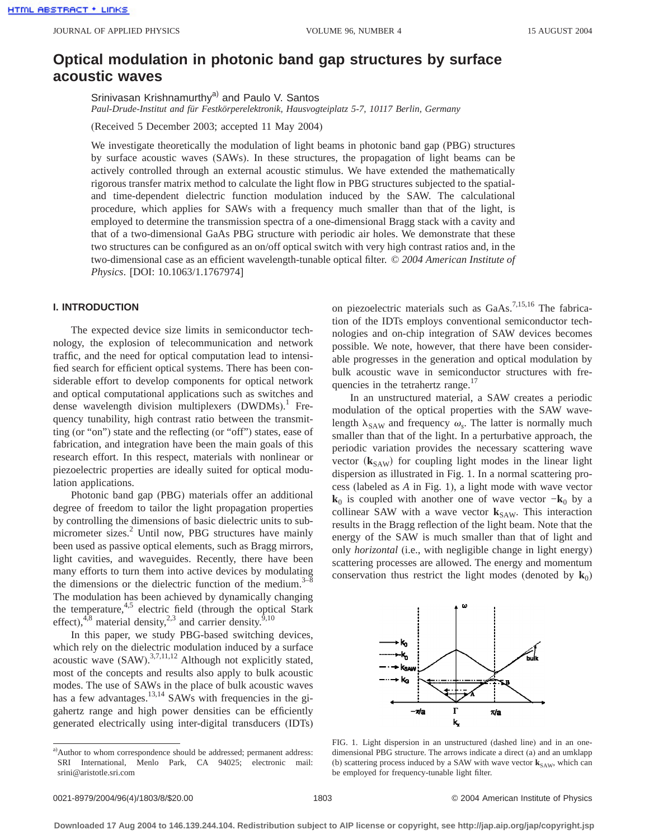# **Optical modulation in photonic band gap structures by surface acoustic waves**

Srinivasan Krishnamurthy<sup>a)</sup> and Paulo V. Santos *Paul-Drude-Institut and für Festkörperelektronik, Hausvogteiplatz 5-7, 10117 Berlin, Germany*

(Received 5 December 2003; accepted 11 May 2004)

We investigate theoretically the modulation of light beams in photonic band gap (PBG) structures by surface acoustic waves (SAWs). In these structures, the propagation of light beams can be actively controlled through an external acoustic stimulus. We have extended the mathematically rigorous transfer matrix method to calculate the light flow in PBG structures subjected to the spatialand time-dependent dielectric function modulation induced by the SAW. The calculational procedure, which applies for SAWs with a frequency much smaller than that of the light, is employed to determine the transmission spectra of a one-dimensional Bragg stack with a cavity and that of a two-dimensional GaAs PBG structure with periodic air holes. We demonstrate that these two structures can be configured as an on/off optical switch with very high contrast ratios and, in the two-dimensional case as an efficient wavelength-tunable optical filter. © *2004 American Institute of Physics*. [DOI: 10.1063/1.1767974]

# **I. INTRODUCTION**

The expected device size limits in semiconductor technology, the explosion of telecommunication and network traffic, and the need for optical computation lead to intensified search for efficient optical systems. There has been considerable effort to develop components for optical network and optical computational applications such as switches and dense wavelength division multiplexers (DWDMs).<sup>1</sup> Frequency tunability, high contrast ratio between the transmitting (or "on") state and the reflecting (or "off") states, ease of fabrication, and integration have been the main goals of this research effort. In this respect, materials with nonlinear or piezoelectric properties are ideally suited for optical modulation applications.

Photonic band gap (PBG) materials offer an additional degree of freedom to tailor the light propagation properties by controlling the dimensions of basic dielectric units to submicrometer sizes.<sup>2</sup> Until now, PBG structures have mainly been used as passive optical elements, such as Bragg mirrors, light cavities, and waveguides. Recently, there have been many efforts to turn them into active devices by modulating the dimensions or the dielectric function of the medium. $3$ The modulation has been achieved by dynamically changing the temperature, $4.5$  electric field (through the optical Stark effect),<sup>4,8</sup> material density,<sup>2,3</sup> and carrier density.<sup>9,10</sup>

In this paper, we study PBG-based switching devices, which rely on the dielectric modulation induced by a surface acoustic wave  $(SAW)$ .<sup>3,7,11,12</sup> Although not explicitly stated, most of the concepts and results also apply to bulk acoustic modes. The use of SAWs in the place of bulk acoustic waves has a few advantages.<sup>13,14</sup> SAWs with frequencies in the gigahertz range and high power densities can be efficiently generated electrically using inter-digital transducers (IDTs) on piezoelectric materials such as GaAs.<sup>7,15,16</sup> The fabrication of the IDTs employs conventional semiconductor technologies and on-chip integration of SAW devices becomes possible. We note, however, that there have been considerable progresses in the generation and optical modulation by bulk acoustic wave in semiconductor structures with frequencies in the tetrahertz range.<sup>17</sup>

In an unstructured material, a SAW creates a periodic modulation of the optical properties with the SAW wavelength  $\lambda_{\text{SAW}}$  and frequency  $\omega_s$ . The latter is normally much smaller than that of the light. In a perturbative approach, the periodic variation provides the necessary scattering wave vector  $(k_{SAW})$  for coupling light modes in the linear light dispersion as illustrated in Fig. 1. In a normal scattering process (labeled as *A* in Fig. 1), a light mode with wave vector **k**<sub>0</sub> is coupled with another one of wave vector  $-\mathbf{k}_0$  by a collinear SAW with a wave vector  $k_{SAW}$ . This interaction results in the Bragg reflection of the light beam. Note that the energy of the SAW is much smaller than that of light and only *horizontal* (i.e., with negligible change in light energy) scattering processes are allowed. The energy and momentum conservation thus restrict the light modes (denoted by  $\mathbf{k}_0$ )



FIG. 1. Light dispersion in an unstructured (dashed line) and in an onedimensional PBG structure. The arrows indicate a direct (a) and an umklapp (b) scattering process induced by a SAW with wave vector  $\mathbf{k}_{SAW}$ , which can be employed for frequency-tunable light filter.

a)Author to whom correspondence should be addressed; permanent address: SRI International, Menlo Park, CA 94025; electronic mail: srini@aristotle.sri.com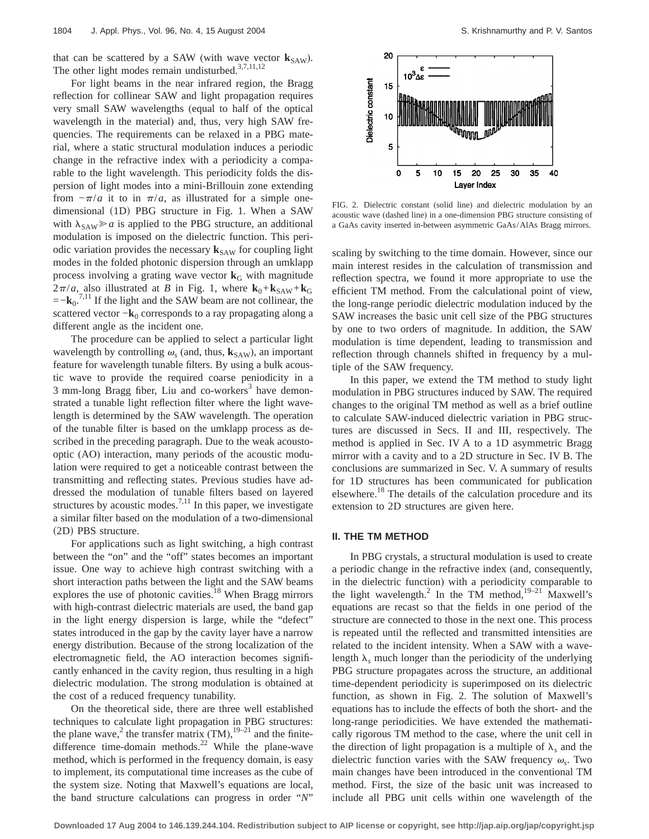that can be scattered by a SAW (with wave vector  $\mathbf{k}_{SAW}$ ). The other light modes remain undisturbed.<sup>3,7,11,12</sup>

For light beams in the near infrared region, the Bragg reflection for collinear SAW and light propagation requires very small SAW wavelengths (equal to half of the optical wavelength in the material) and, thus, very high SAW frequencies. The requirements can be relaxed in a PBG material, where a static structural modulation induces a periodic change in the refractive index with a periodicity a comparable to the light wavelength. This periodicity folds the dispersion of light modes into a mini-Brillouin zone extending from  $-\pi/a$  it to in  $\pi/a$ , as illustrated for a simple onedimensional (1D) PBG structure in Fig. 1. When a SAW with  $\lambda_{SAW} \ge a$  is applied to the PBG structure, an additional modulation is imposed on the dielectric function. This periodic variation provides the necessary  $\mathbf{k}_{SAW}$  for coupling light modes in the folded photonic dispersion through an umklapp process involving a grating wave vector  $\mathbf{k}_{\text{G}}$  with magnitude  $2\pi/a$ , also illustrated at *B* in Fig. 1, where  $\mathbf{k}_0 + \mathbf{k}_{SAW} + \mathbf{k}_G$  $=-\mathbf{k}_0^{7,11}$  If the light and the SAW beam are not collinear, the scattered vector  $-\mathbf{k}_0$  corresponds to a ray propagating along a different angle as the incident one.

The procedure can be applied to select a particular light wavelength by controlling  $\omega_s$  (and, thus,  $\mathbf{k}_{SAW}$ ), an important feature for wavelength tunable filters. By using a bulk acoustic wave to provide the required coarse peniodicity in a  $3$  mm-long Bragg fiber, Liu and co-workers<sup>3</sup> have demonstrated a tunable light reflection filter where the light wavelength is determined by the SAW wavelength. The operation of the tunable filter is based on the umklapp process as described in the preceding paragraph. Due to the weak acoustooptic (AO) interaction, many periods of the acoustic modulation were required to get a noticeable contrast between the transmitting and reflecting states. Previous studies have addressed the modulation of tunable filters based on layered structures by acoustic modes.<sup>7,11</sup> In this paper, we investigate a similar filter based on the modulation of a two-dimensional (2D) PBS structure.

For applications such as light switching, a high contrast between the "on" and the "off" states becomes an important issue. One way to achieve high contrast switching with a short interaction paths between the light and the SAW beams explores the use of photonic cavities. $^{18}$  When Bragg mirrors with high-contrast dielectric materials are used, the band gap in the light energy dispersion is large, while the "defect" states introduced in the gap by the cavity layer have a narrow energy distribution. Because of the strong localization of the electromagnetic field, the AO interaction becomes significantly enhanced in the cavity region, thus resulting in a high dielectric modulation. The strong modulation is obtained at the cost of a reduced frequency tunability.

On the theoretical side, there are three well established techniques to calculate light propagation in PBG structures: the plane wave,<sup>2</sup> the transfer matrix  $(TM)$ , <sup>19–21</sup> and the finitedifference time-domain methods.<sup>22</sup> While the plane-wave method, which is performed in the frequency domain, is easy to implement, its computational time increases as the cube of the system size. Noting that Maxwell's equations are local, the band structure calculations can progress in order "*N*"



FIG. 2. Dielectric constant (solid line) and dielectric modulation by an acoustic wave (dashed line) in a one-dimension PBG structure consisting of a GaAs cavity inserted in-between asymmetric GaAs/AlAs Bragg mirrors.

scaling by switching to the time domain. However, since our main interest resides in the calculation of transmission and reflection spectra, we found it more appropriate to use the efficient TM method. From the calculational point of view, the long-range periodic dielectric modulation induced by the SAW increases the basic unit cell size of the PBG structures by one to two orders of magnitude. In addition, the SAW modulation is time dependent, leading to transmission and reflection through channels shifted in frequency by a multiple of the SAW frequency.

In this paper, we extend the TM method to study light modulation in PBG structures induced by SAW. The required changes to the original TM method as well as a brief outline to calculate SAW-induced dielectric variation in PBG structures are discussed in Secs. II and III, respectively. The method is applied in Sec. IV A to a 1D asymmetric Bragg mirror with a cavity and to a 2D structure in Sec. IV B. The conclusions are summarized in Sec. V. A summary of results for 1D structures has been communicated for publication elsewhere.<sup>18</sup> The details of the calculation procedure and its extension to 2D structures are given here.

## **II. THE TM METHOD**

In PBG crystals, a structural modulation is used to create a periodic change in the refractive index (and, consequently, in the dielectric function) with a periodicity comparable to the light wavelength.<sup>2</sup> In the TM method,<sup>19-21</sup> Maxwell's equations are recast so that the fields in one period of the structure are connected to those in the next one. This process is repeated until the reflected and transmitted intensities are related to the incident intensity. When a SAW with a wavelength  $\lambda_s$  much longer than the periodicity of the underlying PBG structure propagates across the structure, an additional time-dependent periodicity is superimposed on its dielectric function, as shown in Fig. 2. The solution of Maxwell's equations has to include the effects of both the short- and the long-range periodicities. We have extended the mathematically rigorous TM method to the case, where the unit cell in the direction of light propagation is a multiple of  $\lambda_s$  and the dielectric function varies with the SAW frequency  $\omega_{s}$ . Two main changes have been introduced in the conventional TM method. First, the size of the basic unit was increased to include all PBG unit cells within one wavelength of the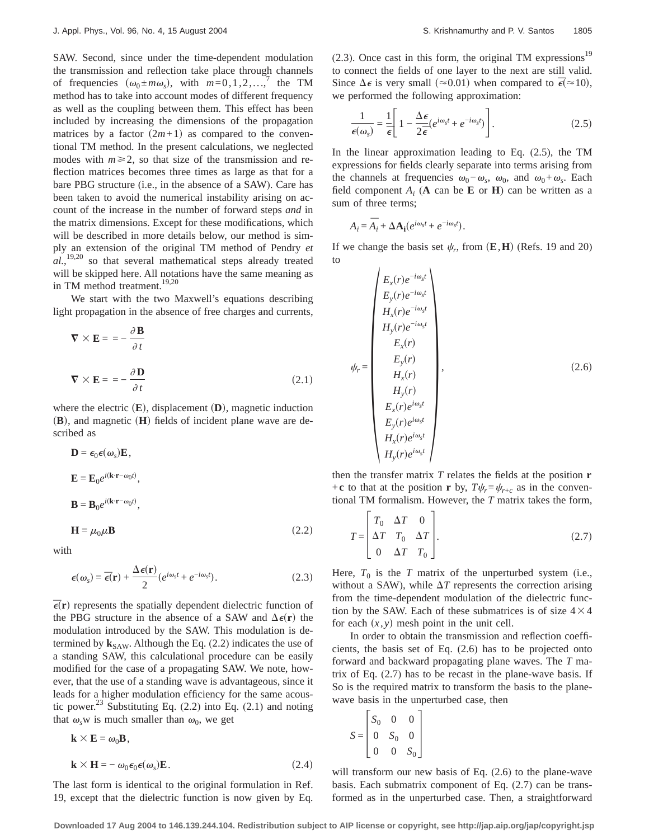SAW. Second, since under the time-dependent modulation the transmission and reflection take place through channels of frequencies  $(\omega_0 \pm m\omega_s)$ , with  $m=0,1,2,...$ ,<sup>7</sup> the TM method has to take into account modes of different frequency as well as the coupling between them. This effect has been included by increasing the dimensions of the propagation matrices by a factor  $(2m+1)$  as compared to the conventional TM method. In the present calculations, we neglected modes with  $m \ge 2$ , so that size of the transmission and reflection matrices becomes three times as large as that for a bare PBG structure (i.e., in the absence of a SAW). Care has been taken to avoid the numerical instability arising on account of the increase in the number of forward steps *and* in the matrix dimensions. Except for these modifications, which will be described in more details below, our method is simply an extension of the original TM method of Pendry *et al.*, 19,20 so that several mathematical steps already treated will be skipped here. All notations have the same meaning as in TM method treatment.<sup>19,20</sup>

We start with the two Maxwell's equations describing light propagation in the absence of free charges and currents,

$$
\nabla \times \mathbf{E} = -\frac{\partial \mathbf{B}}{\partial t}
$$
  

$$
\nabla \times \mathbf{E} = -\frac{\partial \mathbf{D}}{\partial t}
$$
 (2.1)

where the electric  $(\mathbf{E})$ , displacement  $(\mathbf{D})$ , magnetic induction **, and magnetic**  $**(H)**$  **fields of incident plane wave are de**scribed as

$$
\mathbf{D} = \epsilon_0 \epsilon(\omega_s) \mathbf{E},
$$
  
\n
$$
\mathbf{E} = \mathbf{E}_0 e^{i(\mathbf{k} \cdot \mathbf{r} - \omega_0 t)},
$$
  
\n
$$
\mathbf{B} = \mathbf{B}_0 e^{i(\mathbf{k} \cdot \mathbf{r} - \omega_0 t)},
$$
  
\n
$$
\mathbf{H} = \mu_0 \mu \mathbf{B}
$$
 (2.2)

$$
\mathbf{H} \sim \mathcal{P}^{(1)}
$$

with

$$
\boldsymbol{\epsilon}(\boldsymbol{\omega}_s) = \boldsymbol{\bar{\epsilon}}(\mathbf{r}) + \frac{\Delta \boldsymbol{\epsilon}(\mathbf{r})}{2} (e^{i\omega_s t} + e^{-i\omega_s t}). \tag{2.3}
$$

 $\vec{\epsilon}$ (**r**) represents the spatially dependent dielectric function of the PBG structure in the absence of a SAW and  $\Delta \epsilon(\mathbf{r})$  the modulation introduced by the SAW. This modulation is determined by  $\mathbf{k}_{SAW}$ . Although the Eq. (2.2) indicates the use of a standing SAW, this calculational procedure can be easily modified for the case of a propagating SAW. We note, however, that the use of a standing wave is advantageous, since it leads for a higher modulation efficiency for the same acoustic power.<sup>23</sup> Substituting Eq.  $(2.2)$  into Eq.  $(2.1)$  and noting that  $\omega_s$ w is much smaller than  $\omega_0$ , we get

$$
\mathbf{k} \times \mathbf{E} = \omega_0 \mathbf{B},
$$
  

$$
\mathbf{k} \times \mathbf{H} = -\omega_0 \epsilon_0 \epsilon(\omega_s) \mathbf{E}.
$$
 (2.4)

The last form is identical to the original formulation in Ref. 19, except that the dielectric function is now given by Eq.

 $(2.3)$ . Once cast in this form, the original TM expressions<sup>19</sup> to connect the fields of one layer to the next are still valid. Since  $\Delta \epsilon$  is very small ( $\approx 0.01$ ) when compared to  $\bar{\epsilon}(\approx 10)$ , we performed the following approximation:

$$
\frac{1}{\epsilon(\omega_s)} = \frac{1}{\overline{\epsilon}} \left[ 1 - \frac{\Delta \epsilon}{2\overline{\epsilon}} \left( e^{i\omega_s t} + e^{-i\omega_s t} \right) \right].
$$
 (2.5)

In the linear approximation leading to Eq. (2.5), the TM expressions for fields clearly separate into terms arising from the channels at frequencies  $\omega_0 - \omega_s$ ,  $\omega_0$ , and  $\omega_0 + \omega_s$ . Each field component  $A_i$  (**A** can be **E** or **H**) can be written as a sum of three terms;

$$
A_i = \overline{A}_i + \Delta A_i (e^{i\omega_s t} + e^{-i\omega_s t}).
$$

If we change the basis set  $\psi_r$ , from  $(\mathbf{E}, \mathbf{H})$  (Refs. 19 and 20) to

$$
\psi_r = \begin{pmatrix}\nE_x(r)e^{-i\omega_s t} \\
E_y(r)e^{-i\omega_s t} \\
H_x(r)e^{-i\omega_s t} \\
H_y(r)e^{-i\omega_s t} \\
E_x(r) \\
E_y(r) \\
H_x(r) \\
H_y(r) \\
E_x(r)e^{i\omega_s t} \\
E_y(r)e^{i\omega_s t} \\
H_x(r)e^{i\omega_s t} \\
H_x(r)e^{i\omega_s t} \\
H_y(r)e^{i\omega_s t}\n\end{pmatrix}
$$
\n(2.6)

then the transfer matrix *T* relates the fields at the position **r** +**c** to that at the position **r** by,  $T\psi_r = \psi_{r+c}$  as in the conventional TM formalism. However, the *T* matrix takes the form,

$$
T = \begin{bmatrix} T_0 & \Delta T & 0 \\ \Delta T & T_0 & \Delta T \\ 0 & \Delta T & T_0 \end{bmatrix}.
$$
 (2.7)

Here,  $T_0$  is the *T* matrix of the unperturbed system (i.e., without a SAW), while  $\Delta T$  represents the correction arising from the time-dependent modulation of the dielectric function by the SAW. Each of these submatrices is of size  $4 \times 4$ for each  $(x, y)$  mesh point in the unit cell.

In order to obtain the transmission and reflection coefficients, the basis set of Eq. (2.6) has to be projected onto forward and backward propagating plane waves. The *T* matrix of Eq. (2.7) has to be recast in the plane-wave basis. If So is the required matrix to transform the basis to the planewave basis in the unperturbed case, then

$$
S = \begin{bmatrix} S_0 & 0 & 0 \\ 0 & S_0 & 0 \\ 0 & 0 & S_0 \end{bmatrix}
$$

will transform our new basis of Eq. (2.6) to the plane-wave basis. Each submatrix component of Eq. (2.7) can be transformed as in the unperturbed case. Then, a straightforward

**Downloaded 17 Aug 2004 to 146.139.244.104. Redistribution subject to AIP license or copyright, see http://jap.aip.org/jap/copyright.jsp**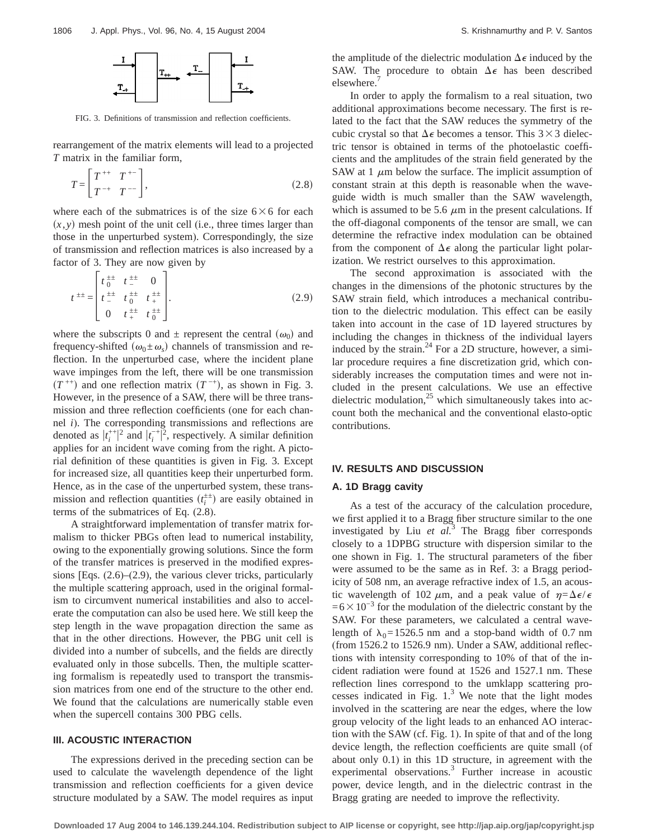

FIG. 3. Definitions of transmission and reflection coefficients.

rearrangement of the matrix elements will lead to a projected *T* matrix in the familiar form,

$$
T = \left[ \begin{array}{cc} T^{++} & T^{+-} \\ T^{-+} & T^{--} \end{array} \right],\tag{2.8}
$$

where each of the submatrices is of the size  $6\times6$  for each  $(x, y)$  mesh point of the unit cell (i.e., three times larger than those in the unperturbed system). Correspondingly, the size of transmission and reflection matrices is also increased by a factor of 3. They are now given by

$$
t^{\pm \pm} = \begin{bmatrix} t^{\pm \pm} & t^{\pm \pm} & 0 \\ t^{\pm \pm} & t^{\pm \pm} & t^{\pm \pm} \\ 0 & t^{\pm \pm} & t^{\pm \pm} \\ 0 & t^{\pm \pm} & t^{\pm \pm} \end{bmatrix} . \tag{2.9}
$$

where the subscripts 0 and  $\pm$  represent the central  $(\omega_0)$  and frequency-shifted  $(\omega_0 \pm \omega_s)$  channels of transmission and reflection. In the unperturbed case, where the incident plane wave impinges from the left, there will be one transmission  $(T^{++})$  and one reflection matrix  $(T^{-+})$ , as shown in Fig. 3. However, in the presence of a SAW, there will be three transmission and three reflection coefficients (one for each channel *i*). The corresponding transmissions and reflections are denoted as  $|t_i^{++}|^2$  and  $|t_i^{-+}|^2$ , respectively. A similar definition applies for an incident wave coming from the right. A pictorial definition of these quantities is given in Fig. 3. Except for increased size, all quantities keep their unperturbed form. Hence, as in the case of the unperturbed system, these transmission and reflection quantities  $(t_i^{\pm \pm})$  are easily obtained in terms of the submatrices of Eq. (2.8).

A straightforward implementation of transfer matrix formalism to thicker PBGs often lead to numerical instability, owing to the exponentially growing solutions. Since the form of the transfer matrices is preserved in the modified expressions [Eqs. (2.6)–(2.9), the various clever tricks, particularly the multiple scattering approach, used in the original formalism to circumvent numerical instabilities and also to accelerate the computation can also be used here. We still keep the step length in the wave propagation direction the same as that in the other directions. However, the PBG unit cell is divided into a number of subcells, and the fields are directly evaluated only in those subcells. Then, the multiple scattering formalism is repeatedly used to transport the transmission matrices from one end of the structure to the other end. We found that the calculations are numerically stable even when the supercell contains 300 PBG cells.

# **III. ACOUSTIC INTERACTION**

The expressions derived in the preceding section can be used to calculate the wavelength dependence of the light transmission and reflection coefficients for a given device structure modulated by a SAW. The model requires as input the amplitude of the dielectric modulation  $\Delta \epsilon$  induced by the SAW. The procedure to obtain  $\Delta \epsilon$  has been described elsewhere.<sup>7</sup>

In order to apply the formalism to a real situation, two additional approximations become necessary. The first is related to the fact that the SAW reduces the symmetry of the cubic crystal so that  $\Delta \epsilon$  becomes a tensor. This 3×3 dielectric tensor is obtained in terms of the photoelastic coefficients and the amplitudes of the strain field generated by the SAW at 1  $\mu$ m below the surface. The implicit assumption of constant strain at this depth is reasonable when the waveguide width is much smaller than the SAW wavelength, which is assumed to be 5.6  $\mu$ m in the present calculations. If the off-diagonal components of the tensor are small, we can determine the refractive index modulation can be obtained from the component of  $\Delta \epsilon$  along the particular light polarization. We restrict ourselves to this approximation.

The second approximation is associated with the changes in the dimensions of the photonic structures by the SAW strain field, which introduces a mechanical contribution to the dielectric modulation. This effect can be easily taken into account in the case of 1D layered structures by including the changes in thickness of the individual layers induced by the strain. $^{24}$  For a 2D structure, however, a similar procedure requires a fine discretization grid, which considerably increases the computation times and were not included in the present calculations. We use an effective dielectric modulation, $^{25}$  which simultaneously takes into account both the mechanical and the conventional elasto-optic contributions.

### **IV. RESULTS AND DISCUSSION**

#### **A. 1D Bragg cavity**

As a test of the accuracy of the calculation procedure, we first applied it to a Bragg fiber structure similar to the one investigated by Liu *et al.*<sup>3</sup> The Bragg fiber corresponds closely to a 1DPBG structure with dispersion similar to the one shown in Fig. 1. The structural parameters of the fiber were assumed to be the same as in Ref. 3: a Bragg periodicity of 508 nm, an average refractive index of 1.5, an acoustic wavelength of 102  $\mu$ m, and a peak value of  $\eta = \Delta \epsilon / \epsilon$  $=6\times10^{-3}$  for the modulation of the dielectric constant by the SAW. For these parameters, we calculated a central wavelength of  $\lambda_0$ =1526.5 nm and a stop-band width of 0.7 nm (from 1526.2 to 1526.9 nm). Under a SAW, additional reflections with intensity corresponding to 10% of that of the incident radiation were found at 1526 and 1527.1 nm. These reflection lines correspond to the umklapp scattering processes indicated in Fig.  $1<sup>3</sup>$  We note that the light modes involved in the scattering are near the edges, where the low group velocity of the light leads to an enhanced AO interaction with the SAW (cf. Fig. 1). In spite of that and of the long device length, the reflection coefficients are quite small (of about only 0.1) in this 1D structure, in agreement with the experimental observations.<sup>3</sup> Further increase in acoustic power, device length, and in the dielectric contrast in the Bragg grating are needed to improve the reflectivity.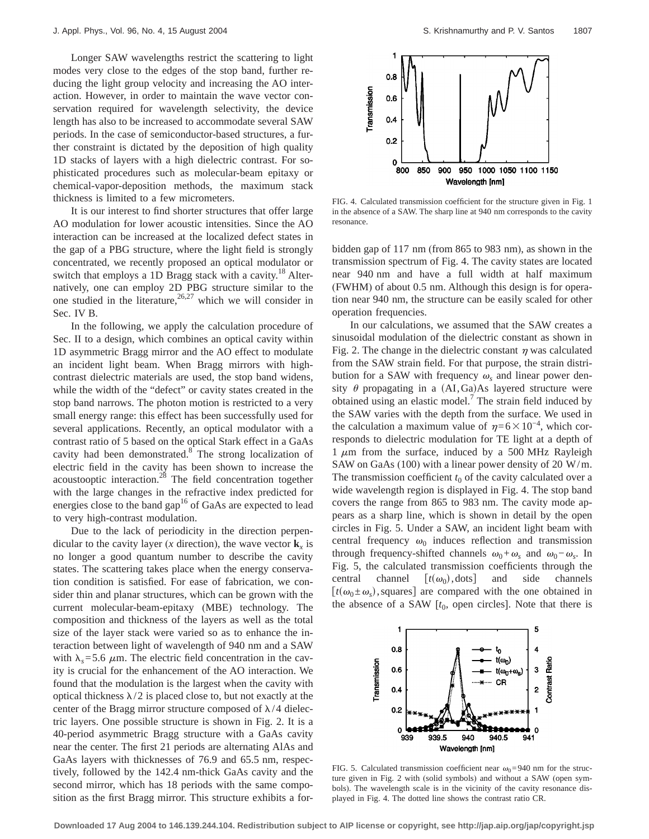Longer SAW wavelengths restrict the scattering to light modes very close to the edges of the stop band, further reducing the light group velocity and increasing the AO interaction. However, in order to maintain the wave vector conservation required for wavelength selectivity, the device length has also to be increased to accommodate several SAW periods. In the case of semiconductor-based structures, a further constraint is dictated by the deposition of high quality 1D stacks of layers with a high dielectric contrast. For sophisticated procedures such as molecular-beam epitaxy or chemical-vapor-deposition methods, the maximum stack thickness is limited to a few micrometers.

It is our interest to find shorter structures that offer large AO modulation for lower acoustic intensities. Since the AO interaction can be increased at the localized defect states in the gap of a PBG structure, where the light field is strongly concentrated, we recently proposed an optical modulator or switch that employs a 1D Bragg stack with a cavity.<sup>18</sup> Alternatively, one can employ 2D PBG structure similar to the one studied in the literature,  $26.27$  which we will consider in Sec. IV B.

In the following, we apply the calculation procedure of Sec. II to a design, which combines an optical cavity within 1D asymmetric Bragg mirror and the AO effect to modulate an incident light beam. When Bragg mirrors with highcontrast dielectric materials are used, the stop band widens, while the width of the "defect" or cavity states created in the stop band narrows. The photon motion is restricted to a very small energy range: this effect has been successfully used for several applications. Recently, an optical modulator with a contrast ratio of 5 based on the optical Stark effect in a GaAs cavity had been demonstrated.<sup>8</sup> The strong localization of electric field in the cavity has been shown to increase the acoustooptic interaction.<sup>28</sup> The field concentration together with the large changes in the refractive index predicted for energies close to the band gap<sup>16</sup> of GaAs are expected to lead to very high-contrast modulation.

Due to the lack of periodicity in the direction perpendicular to the cavity layer (*x* direction), the wave vector  $\mathbf{k}_x$  is no longer a good quantum number to describe the cavity states. The scattering takes place when the energy conservation condition is satisfied. For ease of fabrication, we consider thin and planar structures, which can be grown with the current molecular-beam-epitaxy (MBE) technology. The composition and thickness of the layers as well as the total size of the layer stack were varied so as to enhance the interaction between light of wavelength of 940 nm and a SAW with  $\lambda_s$ =5.6  $\mu$ m. The electric field concentration in the cavity is crucial for the enhancement of the AO interaction. We found that the modulation is the largest when the cavity with optical thickness  $\lambda/2$  is placed close to, but not exactly at the center of the Bragg mirror structure composed of  $\lambda/4$  dielectric layers. One possible structure is shown in Fig. 2. It is a 40-period asymmetric Bragg structure with a GaAs cavity near the center. The first 21 periods are alternating AlAs and GaAs layers with thicknesses of 76.9 and 65.5 nm, respectively, followed by the 142.4 nm-thick GaAs cavity and the second mirror, which has 18 periods with the same composition as the first Bragg mirror. This structure exhibits a for-



FIG. 4. Calculated transmission coefficient for the structure given in Fig. 1 in the absence of a SAW. The sharp line at 940 nm corresponds to the cavity resonance.

bidden gap of 117 nm (from 865 to 983 nm), as shown in the transmission spectrum of Fig. 4. The cavity states are located near 940 nm and have a full width at half maximum (FWHM) of about 0.5 nm. Although this design is for operation near 940 nm, the structure can be easily scaled for other operation frequencies.

In our calculations, we assumed that the SAW creates a sinusoidal modulation of the dielectric constant as shown in Fig. 2. The change in the dielectric constant  $\eta$  was calculated from the SAW strain field. For that purpose, the strain distribution for a SAW with frequency  $\omega_s$  and linear power density  $\theta$  propagating in a (AI,Ga)As layered structure were obtained using an elastic model.<sup>7</sup> The strain field induced by the SAW varies with the depth from the surface. We used in the calculation a maximum value of  $\eta=6\times10^{-4}$ , which corresponds to dielectric modulation for TE light at a depth of 1  $\mu$ m from the surface, induced by a 500 MHz Rayleigh SAW on GaAs (100) with a linear power density of 20 W/m. The transmission coefficient  $t_0$  of the cavity calculated over a wide wavelength region is displayed in Fig. 4. The stop band covers the range from 865 to 983 nm. The cavity mode appears as a sharp line, which is shown in detail by the open circles in Fig. 5. Under a SAW, an incident light beam with central frequency  $\omega_0$  induces reflection and transmission through frequency-shifted channels  $\omega_0 + \omega_s$  and  $\omega_0 - \omega_s$ . In Fig. 5, the calculated transmission coefficients through the central channel  $[t(\omega_0), \text{dots}]$  and side channels  $[t(\omega_0 \pm \omega_s),$  squares] are compared with the one obtained in the absence of a SAW  $[t_0,$  open circles]. Note that there is



FIG. 5. Calculated transmission coefficient near  $\omega_0$ =940 nm for the structure given in Fig. 2 with (solid symbols) and without a SAW (open symbols). The wavelength scale is in the vicinity of the cavity resonance displayed in Fig. 4. The dotted line shows the contrast ratio CR.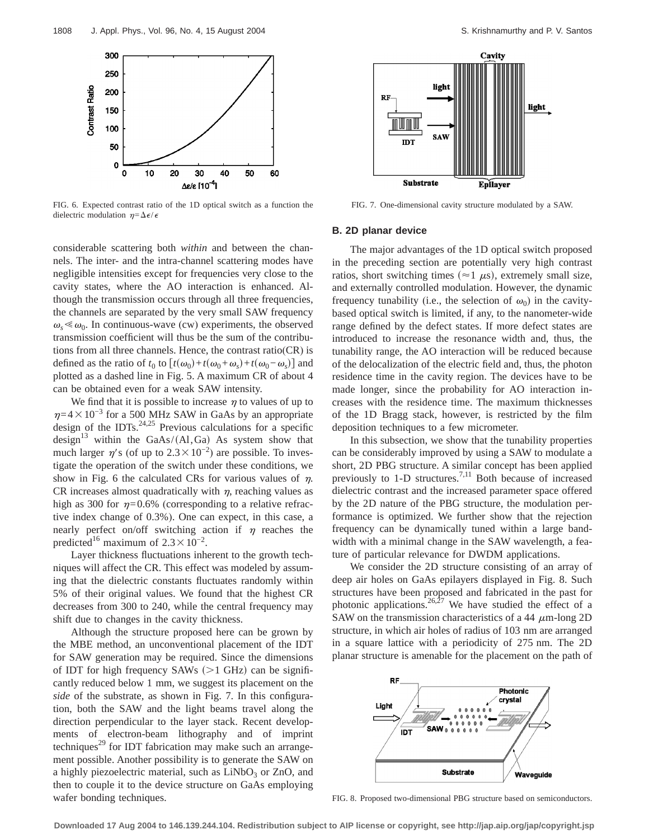

FIG. 6. Expected contrast ratio of the 1D optical switch as a function the dielectric modulation  $\eta = \Delta \epsilon / \epsilon$ 

considerable scattering both *within* and between the channels. The inter- and the intra-channel scattering modes have negligible intensities except for frequencies very close to the cavity states, where the AO interaction is enhanced. Although the transmission occurs through all three frequencies, the channels are separated by the very small SAW frequency  $\omega_s \ll \omega_0$ . In continuous-wave (cw) experiments, the observed transmission coefficient will thus be the sum of the contributions from all three channels. Hence, the contrast ratio(CR) is defined as the ratio of  $t_0$  to  $[t(\omega_0)+t(\omega_0+\omega_s)+t(\omega_0-\omega_s)]$  and plotted as a dashed line in Fig. 5. A maximum CR of about 4 can be obtained even for a weak SAW intensity.

We find that it is possible to increase  $\eta$  to values of up to  $\eta$ =4×10<sup>-3</sup> for a 500 MHz SAW in GaAs by an appropriate design of the IDTs. $24,25$  Previous calculations for a specific design<sup>13</sup> within the GaAs/(Al,Ga) As system show that much larger  $\eta$ 's (of up to 2.3×10<sup>-2</sup>) are possible. To investigate the operation of the switch under these conditions, we show in Fig. 6 the calculated CRs for various values of  $\eta$ . CR increases almost quadratically with  $\eta$ , reaching values as high as 300 for  $\eta=0.6\%$  (corresponding to a relative refractive index change of 0.3%). One can expect, in this case, a nearly perfect on/off switching action if  $\eta$  reaches the predicted<sup>16</sup> maximum of  $2.3 \times 10^{-2}$ .

Layer thickness fluctuations inherent to the growth techniques will affect the CR. This effect was modeled by assuming that the dielectric constants fluctuates randomly within 5% of their original values. We found that the highest CR decreases from 300 to 240, while the central frequency may shift due to changes in the cavity thickness.

Although the structure proposed here can be grown by the MBE method, an unconventional placement of the IDT for SAW generation may be required. Since the dimensions of IDT for high frequency SAWs  $(>1$  GHz) can be significantly reduced below 1 mm, we suggest its placement on the *side* of the substrate, as shown in Fig. 7. In this configuration, both the SAW and the light beams travel along the direction perpendicular to the layer stack. Recent developments of electron-beam lithography and of imprint techniques<sup>29</sup> for IDT fabrication may make such an arrangement possible. Another possibility is to generate the SAW on a highly piezoelectric material, such as  $LiNbO<sub>3</sub>$  or ZnO, and then to couple it to the device structure on GaAs employing wafer bonding techniques.



FIG. 7. One-dimensional cavity structure modulated by a SAW.

#### **B. 2D planar device**

The major advantages of the 1D optical switch proposed in the preceding section are potentially very high contrast ratios, short switching times ( $\approx$ 1  $\mu$ s), extremely small size, and externally controlled modulation. However, the dynamic frequency tunability (i.e., the selection of  $\omega_0$ ) in the cavitybased optical switch is limited, if any, to the nanometer-wide range defined by the defect states. If more defect states are introduced to increase the resonance width and, thus, the tunability range, the AO interaction will be reduced because of the delocalization of the electric field and, thus, the photon residence time in the cavity region. The devices have to be made longer, since the probability for AO interaction increases with the residence time. The maximum thicknesses of the 1D Bragg stack, however, is restricted by the film deposition techniques to a few micrometer.

In this subsection, we show that the tunability properties can be considerably improved by using a SAW to modulate a short, 2D PBG structure. A similar concept has been applied previously to  $1-D$  structures.<sup>7,11</sup> Both because of increased dielectric contrast and the increased parameter space offered by the 2D nature of the PBG structure, the modulation performance is optimized. We further show that the rejection frequency can be dynamically tuned within a large bandwidth with a minimal change in the SAW wavelength, a feature of particular relevance for DWDM applications.

We consider the 2D structure consisting of an array of deep air holes on GaAs epilayers displayed in Fig. 8. Such structures have been proposed and fabricated in the past for photonic applications. $26,27$  We have studied the effect of a SAW on the transmission characteristics of a 44  $\mu$ m-long 2D structure, in which air holes of radius of 103 nm are arranged in a square lattice with a periodicity of 275 nm. The 2D planar structure is amenable for the placement on the path of



FIG. 8. Proposed two-dimensional PBG structure based on semiconductors.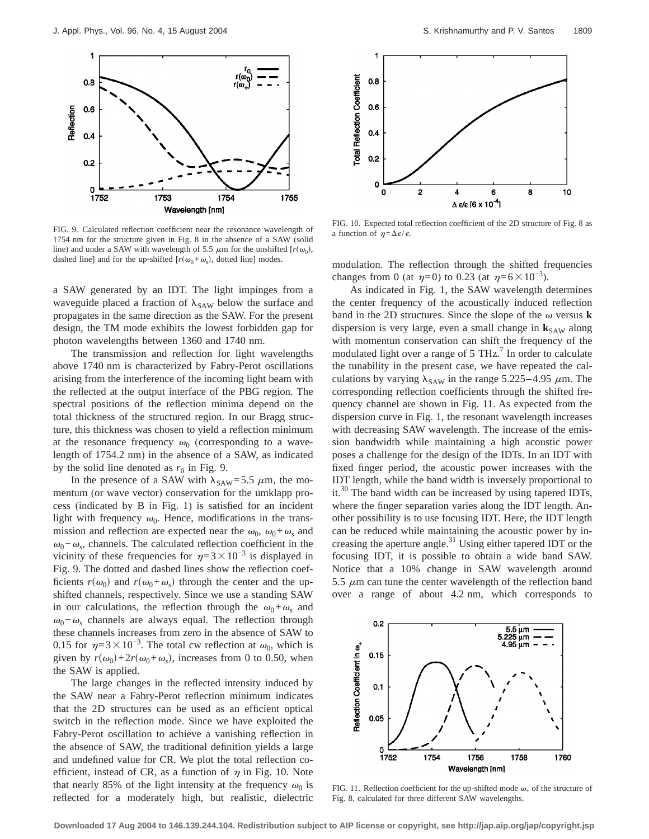

FIG. 9. Calculated reflection coefficient near the resonance wavelength of 1754 nm for the structure given in Fig. 8 in the absence of a SAW (solid line) and under a SAW with wavelength of 5.5  $\mu$ m for the unshifted [ $r(\omega_0)$ , dashed line] and for the up-shifted  $[r(\omega_0+\omega_s)]$ , dotted line] modes.

a SAW generated by an IDT. The light impinges from a waveguide placed a fraction of  $\lambda_{\text{SAW}}$  below the surface and propagates in the same direction as the SAW. For the present design, the TM mode exhibits the lowest forbidden gap for photon wavelengths between 1360 and 1740 nm.

The transmission and reflection for light wavelengths above 1740 nm is characterized by Fabry-Perot oscillations arising from the interference of the incoming light beam with the reflected at the output interface of the PBG region. The spectral positions of the reflection minima depend on the total thickness of the structured region. In our Bragg structure, this thickness was chosen to yield a reflection minimum at the resonance frequency  $\omega_0$  (corresponding to a wavelength of 1754.2 nm) in the absence of a SAW, as indicated by the solid line denoted as  $r_0$  in Fig. 9.

In the presence of a SAW with  $\lambda_{\text{SAW}} = 5.5 \mu \text{m}$ , the momentum (or wave vector) conservation for the umklapp process (indicated by B in Fig. 1) is satisfied for an incident light with frequency  $\omega_0$ . Hence, modifications in the transmission and reflection are expected near the  $\omega_0$ ,  $\omega_0 + \omega_s$  and  $\omega_0-\omega_s$ , channels. The calculated reflection coefficient in the vicinity of these frequencies for  $\eta=3\times10^{-3}$  is displayed in Fig. 9. The dotted and dashed lines show the reflection coefficients  $r(\omega_0)$  and  $r(\omega_0+\omega_s)$  through the center and the upshifted channels, respectively. Since we use a standing SAW in our calculations, the reflection through the  $\omega_0 + \omega_s$  and  $\omega_0$ − $\omega_s$  channels are always equal. The reflection through these channels increases from zero in the absence of SAW to 0.15 for  $\eta=3\times10^{-3}$ . The total cw reflection at  $\omega_0$ , which is given by  $r(\omega_0)+2r(\omega_0+\omega_s)$ , increases from 0 to 0.50, when the SAW is applied.

The large changes in the reflected intensity induced by the SAW near a Fabry-Perot reflection minimum indicates that the 2D structures can be used as an efficient optical switch in the reflection mode. Since we have exploited the Fabry-Perot oscillation to achieve a vanishing reflection in the absence of SAW, the traditional definition yields a large and undefined value for CR. We plot the total reflection coefficient, instead of CR, as a function of  $\eta$  in Fig. 10. Note that nearly 85% of the light intensity at the frequency  $\omega_0$  is reflected for a moderately high, but realistic, dielectric



FIG. 10. Expected total reflection coefficient of the 2D structure of Fig. 8 as a function of  $\eta = \Delta \epsilon / \epsilon$ .

modulation. The reflection through the shifted frequencies changes from 0 (at  $\eta=0$ ) to 0.23 (at  $\eta=6\times10^{-3}$ ).

As indicated in Fig. 1, the SAW wavelength determines the center frequency of the acoustically induced reflection band in the 2D structures. Since the slope of the  $\omega$  versus **k** dispersion is very large, even a small change in  $\mathbf{k}_{SAW}$  along with momentun conservation can shift the frequency of the modulated light over a range of  $5$  THz.<sup>7</sup> In order to calculate the tunability in the present case, we have repeated the calculations by varying  $\lambda_{SAW}$  in the range 5.225–4.95  $\mu$ m. The corresponding reflection coefficients through the shifted frequency channel are shown in Fig. 11. As expected from the dispersion curve in Fig. 1, the resonant wavelength increases with decreasing SAW wavelength. The increase of the emission bandwidth while maintaining a high acoustic power poses a challenge for the design of the IDTs. In an IDT with fixed finger period, the acoustic power increases with the IDT length, while the band width is inversely proportional to it.<sup>30</sup> The band width can be increased by using tapered IDTs, where the finger separation varies along the IDT length. Another possibility is to use focusing IDT. Here, the IDT length can be reduced while maintaining the acoustic power by increasing the aperture angle.<sup>31</sup> Using either tapered IDT or the focusing IDT, it is possible to obtain a wide band SAW. Notice that a 10% change in SAW wavelength around 5.5  $\mu$ m can tune the center wavelength of the reflection band over a range of about 4.2 nm, which corresponds to



FIG. 11. Reflection coefficient for the up-shifted mode  $\omega_+$  of the structure of Fig. 8, calculated for three different SAW wavelengths.